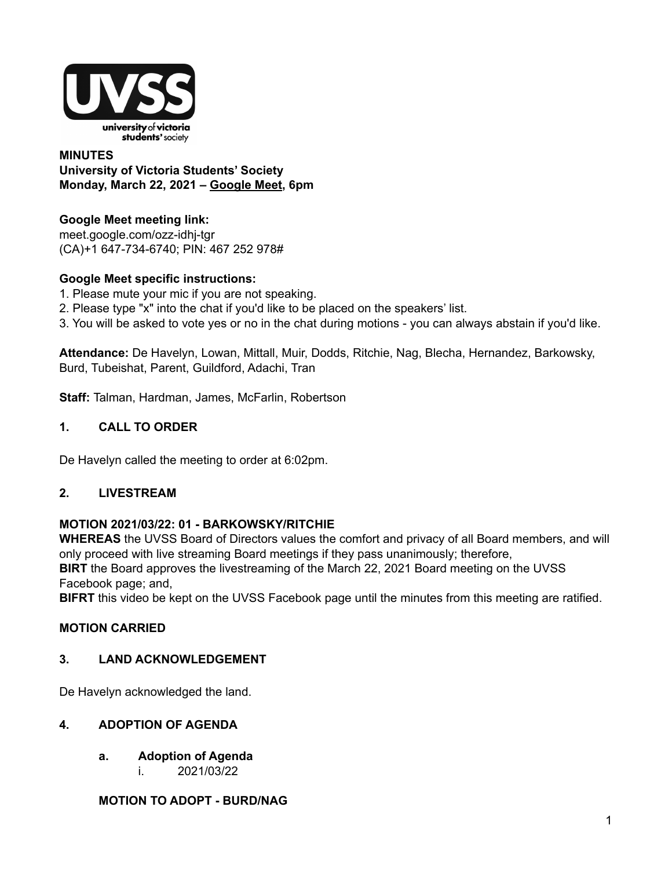

#### **MINUTES University of Victoria Students' Society Monday, March 22, 2021 – [Google](http://meet.google.com/ozz-idhj-tgr) Meet, 6pm**

**Google Meet meeting link:** [meet.google.com/ozz-idhj-tgr](https://meet.google.com/ozz-idhj-tgr?hs=122&authuser=2) (CA)+1 647-734-6740; PIN: 467 252 978#

### **Google Meet specific instructions:**

- 1. Please mute your mic if you are not speaking.
- 2. Please type "x" into the chat if you'd like to be placed on the speakers' list.
- 3. You will be asked to vote yes or no in the chat during motions you can always abstain if you'd like.

**Attendance:** De Havelyn, Lowan, Mittall, Muir, Dodds, Ritchie, Nag, Blecha, Hernandez, Barkowsky, Burd, Tubeishat, Parent, Guildford, Adachi, Tran

**Staff:** Talman, Hardman, James, McFarlin, Robertson

### **1. CALL TO ORDER**

De Havelyn called the meeting to order at 6:02pm.

### **2. LIVESTREAM**

#### **MOTION 2021/03/22: 01 - BARKOWSKY/RITCHIE**

**WHEREAS** the UVSS Board of Directors values the comfort and privacy of all Board members, and will only proceed with live streaming Board meetings if they pass unanimously; therefore, **BIRT** the Board approves the livestreaming of the March 22, 2021 Board meeting on the UVSS Facebook page; and,

**BIFRT** this video be kept on the UVSS Facebook page until the minutes from this meeting are ratified.

### **MOTION CARRIED**

#### **3. LAND ACKNOWLEDGEMENT**

De Havelyn acknowledged the land.

### **4. ADOPTION OF AGENDA**

- **a. Adoption of Agenda**
	- i. 2021/03/22

### **MOTION TO ADOPT - BURD/NAG**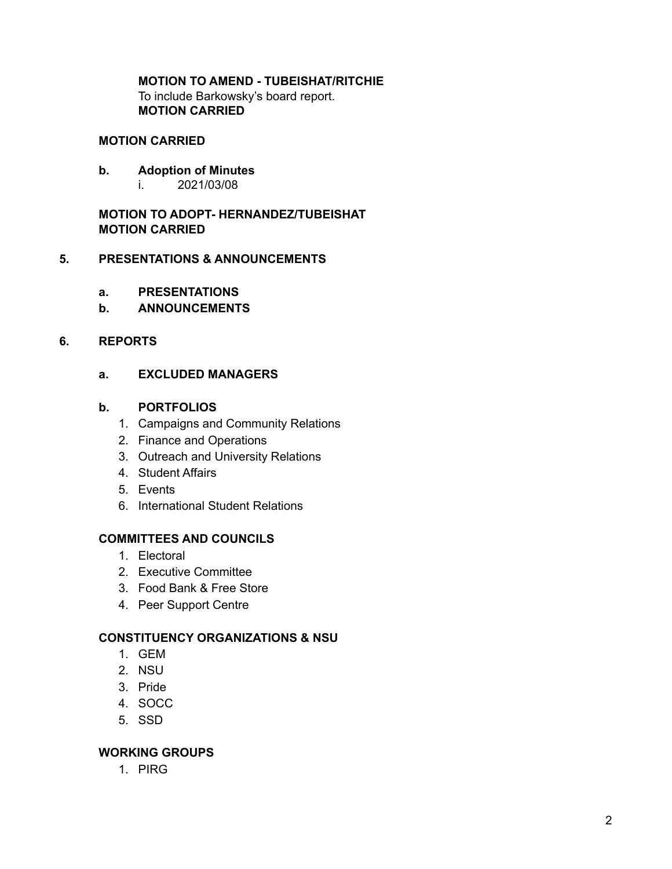## **MOTION TO AMEND - TUBEISHAT/RITCHIE**

To include Barkowsky's board report. **MOTION CARRIED**

#### **MOTION CARRIED**

- **b. Adoption of Minutes**
	- i. 2021/03/08

**MOTION TO ADOPT- HERNANDEZ/TUBEISHAT MOTION CARRIED**

#### **5. PRESENTATIONS & ANNOUNCEMENTS**

- **a. PRESENTATIONS**
- **b. ANNOUNCEMENTS**

#### **6. REPORTS**

**a. EXCLUDED MANAGERS**

#### **b. PORTFOLIOS**

- 1. Campaigns and Community Relations
- 2. Finance and Operations
- 3. Outreach and University Relations
- 4. Student Affairs
- 5. Events
- 6. International Student Relations

## **COMMITTEES AND COUNCILS**

- 1. Electoral
- 2. Executive Committee
- 3. Food Bank & Free Store
- 4. Peer Support Centre

#### **CONSTITUENCY ORGANIZATIONS & NSU**

- 1. GEM
- 2. NSU
- 3. Pride
- 4. SOCC
- 5. SSD

### **WORKING GROUPS**

1. PIRG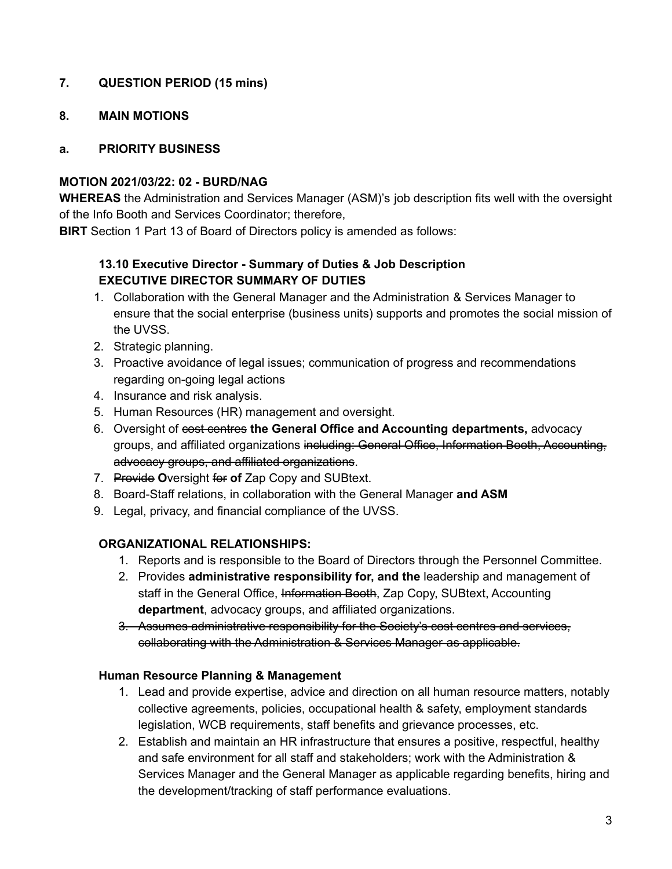## **7. QUESTION PERIOD (15 mins)**

#### **8. MAIN MOTIONS**

#### **a. PRIORITY BUSINESS**

#### **MOTION 2021/03/22: 02 - BURD/NAG**

**WHEREAS** the Administration and Services Manager (ASM)'s job description fits well with the oversight of the Info Booth and Services Coordinator; therefore,

**BIRT** Section 1 Part 13 of Board of Directors policy is amended as follows:

### **13.10 Executive Director - Summary of Duties & Job Description EXECUTIVE DIRECTOR SUMMARY OF DUTIES**

- 1. Collaboration with the General Manager and the Administration & Services Manager to ensure that the social enterprise (business units) supports and promotes the social mission of the UVSS.
- 2. Strategic planning.
- 3. Proactive avoidance of legal issues; communication of progress and recommendations regarding on-going legal actions
- 4. Insurance and risk analysis.
- 5. Human Resources (HR) management and oversight.
- 6. Oversight of cost centres **the General Office and Accounting departments,** advocacy groups, and affiliated organizations including: General Office, Information Booth, Accounting, advocacy groups, and affiliated organizations.
- 7. Provide **O**versight for **of** Zap Copy and SUBtext.
- 8. Board-Staff relations, in collaboration with the General Manager **and ASM**
- 9. Legal, privacy, and financial compliance of the UVSS.

### **ORGANIZATIONAL RELATIONSHIPS:**

- 1. Reports and is responsible to the Board of Directors through the Personnel Committee.
- 2. Provides **administrative responsibility for, and the** leadership and management of staff in the General Office, Information Booth, Zap Copy, SUBtext, Accounting **department**, advocacy groups, and affiliated organizations.
- 3. Assumes administrative responsibility for the Society's cost centres and services, collaborating with the Administration & Services Manager as applicable.

#### **Human Resource Planning & Management**

- 1. Lead and provide expertise, advice and direction on all human resource matters, notably collective agreements, policies, occupational health & safety, employment standards legislation, WCB requirements, staff benefits and grievance processes, etc.
- 2. Establish and maintain an HR infrastructure that ensures a positive, respectful, healthy and safe environment for all staff and stakeholders; work with the Administration & Services Manager and the General Manager as applicable regarding benefits, hiring and the development/tracking of staff performance evaluations.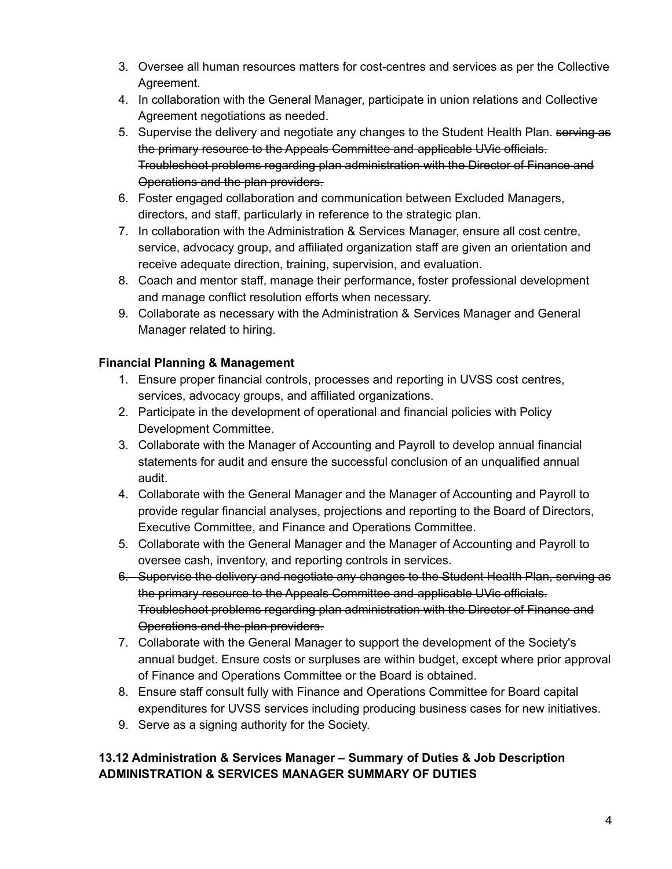- 3. Oversee all human resources matters for cost-centres and services as per the Collective Agreement.
- 4. In collaboration with the General Manager, participate in union relations and Collective Agreement negotiations as needed.
- 5. Supervise the delivery and negotiate any changes to the Student Health Plan. serving as the primary resource to the Appeals Committee and applicable UVic officials. Troubleshoot problems regarding plan administration with the Director of Finance and Operations and the plan providers.
- 6. Foster engaged collaboration and communication between Excluded Managers, directors, and staff, particularly in reference to the strategic plan.
- 7. In collaboration with the Administration & Services Manager, ensure all cost centre, service, advocacy group, and affiliated organization staff are given an orientation and receive adequate direction, training, supervision, and evaluation.
- 8. Coach and mentor staff, manage their performance, foster professional development and manage conflict resolution efforts when necessary.
- 9. Collaborate as necessary with the Administration & Services Manager and General Manager related to hiring.

# **Financial Planning & Management**

- 1. Ensure proper financial controls, processes and reporting in UVSS cost centres, services, advocacy groups, and affiliated organizations.
- 2. Participate in the development of operational and financial policies with Policy Development Committee.
- 3. Collaborate with the Manager of Accounting and Payroll to develop annual financial statements for audit and ensure the successful conclusion of an unqualified annual audit.
- 4. Collaborate with the General Manager and the Manager of Accounting and Payroll to provide regular financial analyses, projections and reporting to the Board of Directors, Executive Committee, and Finance and Operations Committee.
- 5. Collaborate with the General Manager and the Manager of Accounting and Payroll to oversee cash, inventory, and reporting controls in services.
- 6. Supervise the delivery and negotiate any changes to the Student Health Plan, serving as the primary resource to the Appeals Committee and applicable UVic officials. Troubleshoot problems regarding plan administration with the Director of Finance and Operations and the plan providers.
- 7. Collaborate with the General Manager to support the development of the Society's annual budget. Ensure costs or surpluses are within budget, except where prior approval of Finance and Operations Committee or the Board is obtained.
- 8. Ensure staff consult fully with Finance and Operations Committee for Board capital expenditures for UVSS services including producing business cases for new initiatives.
- 9. Serve as a signing authority for the Society.

# **13.12 Administration & Services Manager – Summary of Duties & Job Description ADMINISTRATION & SERVICES MANAGER SUMMARY OF DUTIES**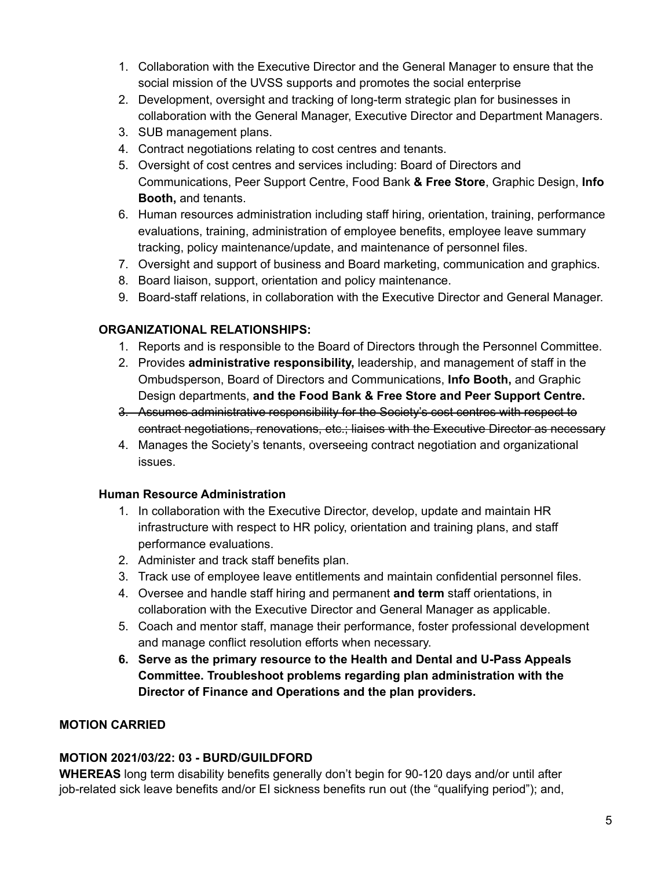- 1. Collaboration with the Executive Director and the General Manager to ensure that the social mission of the UVSS supports and promotes the social enterprise
- 2. Development, oversight and tracking of long-term strategic plan for businesses in collaboration with the General Manager, Executive Director and Department Managers.
- 3. SUB management plans.
- 4. Contract negotiations relating to cost centres and tenants.
- 5. Oversight of cost centres and services including: Board of Directors and Communications, Peer Support Centre, Food Bank **& Free Store**, Graphic Design, **Info Booth,** and tenants.
- 6. Human resources administration including staff hiring, orientation, training, performance evaluations, training, administration of employee benefits, employee leave summary tracking, policy maintenance/update, and maintenance of personnel files.
- 7. Oversight and support of business and Board marketing, communication and graphics.
- 8. Board liaison, support, orientation and policy maintenance.
- 9. Board-staff relations, in collaboration with the Executive Director and General Manager.

## **ORGANIZATIONAL RELATIONSHIPS:**

- 1. Reports and is responsible to the Board of Directors through the Personnel Committee.
- 2. Provides **administrative responsibility,** leadership, and management of staff in the Ombudsperson, Board of Directors and Communications, **Info Booth,** and Graphic Design departments, **and the Food Bank & Free Store and Peer Support Centre.**
- 3. Assumes administrative responsibility for the Society's cost centres with respect to contract negotiations, renovations, etc.; liaises with the Executive Director as necessary
- 4. Manages the Society's tenants, overseeing contract negotiation and organizational issues.

### **Human Resource Administration**

- 1. In collaboration with the Executive Director, develop, update and maintain HR infrastructure with respect to HR policy, orientation and training plans, and staff performance evaluations.
- 2. Administer and track staff benefits plan.
- 3. Track use of employee leave entitlements and maintain confidential personnel files.
- 4. Oversee and handle staff hiring and permanent **and term** staff orientations, in collaboration with the Executive Director and General Manager as applicable.
- 5. Coach and mentor staff, manage their performance, foster professional development and manage conflict resolution efforts when necessary.
- **6. Serve as the primary resource to the Health and Dental and U-Pass Appeals Committee. Troubleshoot problems regarding plan administration with the Director of Finance and Operations and the plan providers.**

# **MOTION CARRIED**

# **MOTION 2021/03/22: 03 - BURD/GUILDFORD**

**WHEREAS** long term disability benefits generally don't begin for 90-120 days and/or until after job-related sick leave benefits and/or EI sickness benefits run out (the "qualifying period"); and,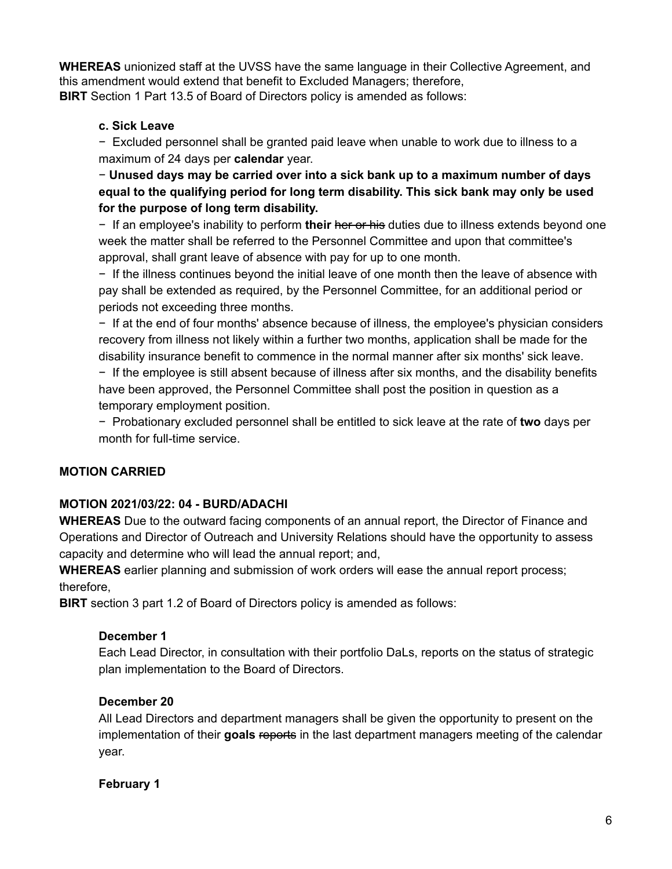**WHEREAS** unionized staff at the UVSS have the same language in their Collective Agreement, and this amendment would extend that benefit to Excluded Managers; therefore, **BIRT** Section 1 Part 13.5 of Board of Directors policy is amended as follows:

## **c. Sick Leave**

− Excluded personnel shall be granted paid leave when unable to work due to illness to a maximum of 24 days per **calendar** year.

− **Unused days may be carried over into a sick bank up to a maximum number of days equal to the qualifying period for long term disability. This sick bank may only be used for the purpose of long term disability.**

− If an employee's inability to perform **their** her or his duties due to illness extends beyond one week the matter shall be referred to the Personnel Committee and upon that committee's approval, shall grant leave of absence with pay for up to one month.

− If the illness continues beyond the initial leave of one month then the leave of absence with pay shall be extended as required, by the Personnel Committee, for an additional period or periods not exceeding three months.

− If at the end of four months' absence because of illness, the employee's physician considers recovery from illness not likely within a further two months, application shall be made for the disability insurance benefit to commence in the normal manner after six months' sick leave.

− If the employee is still absent because of illness after six months, and the disability benefits have been approved, the Personnel Committee shall post the position in question as a temporary employment position.

− Probationary excluded personnel shall be entitled to sick leave at the rate of **two** days per month for full-time service.

# **MOTION CARRIED**

# **MOTION 2021/03/22: 04 - BURD/ADACHI**

**WHEREAS** Due to the outward facing components of an annual report, the Director of Finance and Operations and Director of Outreach and University Relations should have the opportunity to assess capacity and determine who will lead the annual report; and,

**WHEREAS** earlier planning and submission of work orders will ease the annual report process; therefore,

**BIRT** section 3 part 1.2 of Board of Directors policy is amended as follows:

# **December 1**

Each Lead Director, in consultation with their portfolio DaLs, reports on the status of strategic plan implementation to the Board of Directors.

# **December 20**

All Lead Directors and department managers shall be given the opportunity to present on the implementation of their **goals** reports in the last department managers meeting of the calendar year.

**February 1**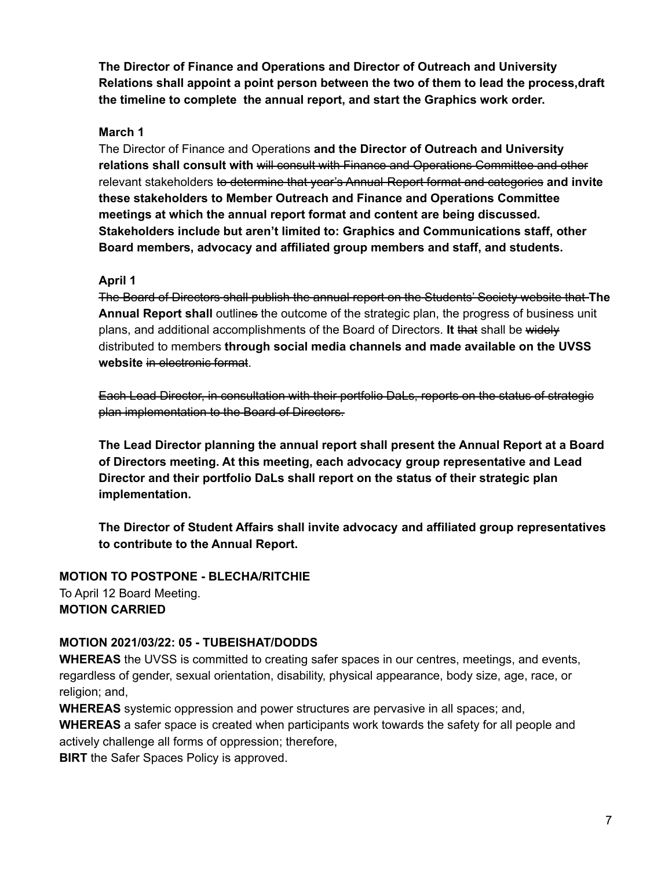**The Director of Finance and Operations and Director of Outreach and University Relations shall appoint a point person between the two of them to lead the process,draft the timeline to complete the annual report, and start the Graphics work order.**

#### **March 1**

The Director of Finance and Operations **and the Director of Outreach and University relations shall consult with** will consult with Finance and Operations Committee and other relevant stakeholders to determine that year's Annual Report format and categories **and invite these stakeholders to Member Outreach and Finance and Operations Committee meetings at which the annual report format and content are being discussed. Stakeholders include but aren't limited to: Graphics and Communications staff, other Board members, advocacy and affiliated group members and staff, and students.**

#### **April 1**

The Board of Directors shall publish the annual report on the Students' Society website that **The Annual Report shall** outlines the outcome of the strategic plan, the progress of business unit plans, and additional accomplishments of the Board of Directors. **It** that shall be widely distributed to members **through social media channels and made available on the UVSS website** in electronic format.

Each Lead Director, in consultation with their portfolio DaLs, reports on the status of strategic plan implementation to the Board of Directors.

**The Lead Director planning the annual report shall present the Annual Report at a Board of Directors meeting. At this meeting, each advocacy group representative and Lead Director and their portfolio DaLs shall report on the status of their strategic plan implementation.**

**The Director of Student Affairs shall invite advocacy and affiliated group representatives to contribute to the Annual Report.**

## **MOTION TO POSTPONE - BLECHA/RITCHIE** To April 12 Board Meeting. **MOTION CARRIED**

### **MOTION 2021/03/22: 05 - TUBEISHAT/DODDS**

**WHEREAS** the UVSS is committed to creating safer spaces in our centres, meetings, and events, regardless of gender, sexual orientation, disability, physical appearance, body size, age, race, or religion; and,

**WHEREAS** systemic oppression and power structures are pervasive in all spaces; and,

**WHEREAS** a safer space is created when participants work towards the safety for all people and actively challenge all forms of oppression; therefore,

**BIRT** the Safer Spaces Policy is approved.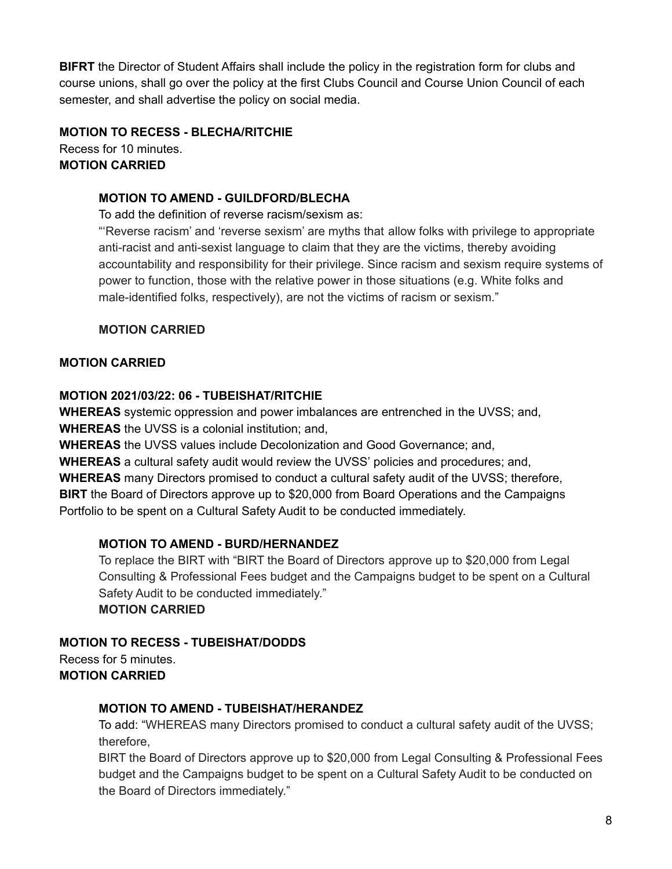**BIFRT** the Director of Student Affairs shall include the policy in the registration form for clubs and course unions, shall go over the policy at the first Clubs Council and Course Union Council of each semester, and shall advertise the policy on social media.

## **MOTION TO RECESS - BLECHA/RITCHIE**

Recess for 10 minutes. **MOTION CARRIED**

#### **MOTION TO AMEND - GUILDFORD/BLECHA**

To add the definition of reverse racism/sexism as:

"'Reverse racism' and 'reverse sexism' are myths that allow folks with privilege to appropriate anti-racist and anti-sexist language to claim that they are the victims, thereby avoiding accountability and responsibility for their privilege. Since racism and sexism require systems of power to function, those with the relative power in those situations (e.g. White folks and male-identified folks, respectively), are not the victims of racism or sexism."

### **MOTION CARRIED**

### **MOTION CARRIED**

### **MOTION 2021/03/22: 06 - TUBEISHAT/RITCHIE**

**WHEREAS** systemic oppression and power imbalances are entrenched in the UVSS; and, **WHEREAS** the UVSS is a colonial institution; and,

**WHEREAS** the UVSS values include Decolonization and Good Governance; and,

**WHEREAS** a cultural safety audit would review the UVSS' policies and procedures; and,

**WHEREAS** many Directors promised to conduct a cultural safety audit of the UVSS; therefore, **BIRT** the Board of Directors approve up to \$20,000 from Board Operations and the Campaigns Portfolio to be spent on a Cultural Safety Audit to be conducted immediately.

### **MOTION TO AMEND - BURD/HERNANDEZ**

To replace the BIRT with "BIRT the Board of Directors approve up to \$20,000 from Legal Consulting & Professional Fees budget and the Campaigns budget to be spent on a Cultural Safety Audit to be conducted immediately." **MOTION CARRIED**

**MOTION TO RECESS - TUBEISHAT/DODDS** Recess for 5 minutes. **MOTION CARRIED**

### **MOTION TO AMEND - TUBEISHAT/HERANDEZ**

To add: "WHEREAS many Directors promised to conduct a cultural safety audit of the UVSS; therefore,

BIRT the Board of Directors approve up to \$20,000 from Legal Consulting & Professional Fees budget and the Campaigns budget to be spent on a Cultural Safety Audit to be conducted on the Board of Directors immediately."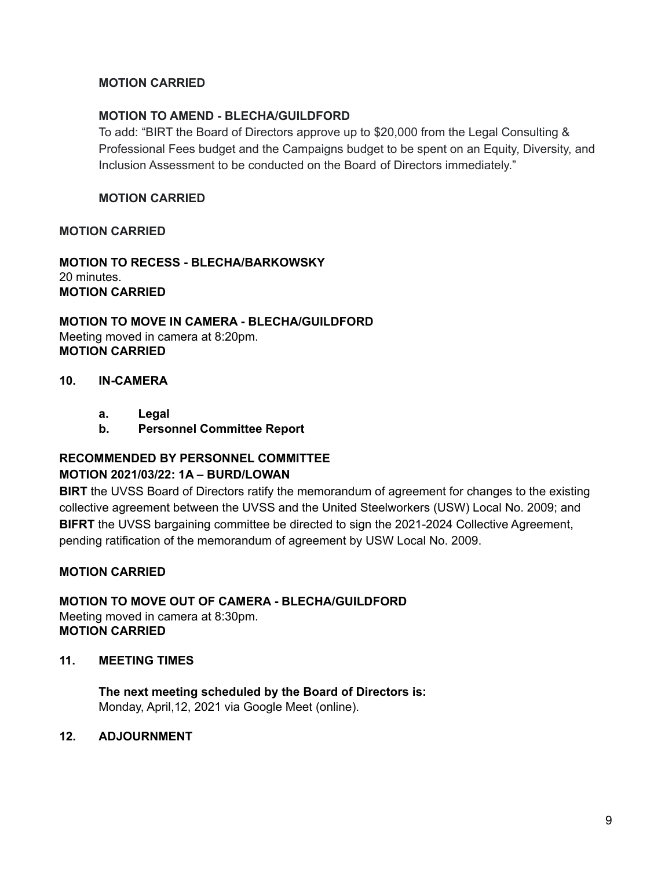#### **MOTION CARRIED**

#### **MOTION TO AMEND - BLECHA/GUILDFORD**

To add: "BIRT the Board of Directors approve up to \$20,000 from the Legal Consulting & Professional Fees budget and the Campaigns budget to be spent on an Equity, Diversity, and Inclusion Assessment to be conducted on the Board of Directors immediately."

#### **MOTION CARRIED**

#### **MOTION CARRIED**

**MOTION TO RECESS - BLECHA/BARKOWSKY** 20 minutes. **MOTION CARRIED**

#### **MOTION TO MOVE IN CAMERA - BLECHA/GUILDFORD** Meeting moved in camera at 8:20pm. **MOTION CARRIED**

#### **10. IN-CAMERA**

- **a. Legal**
- **b. Personnel Committee Report**

#### **RECOMMENDED BY PERSONNEL COMMITTEE MOTION 2021/03/22: 1A – BURD/LOWAN**

**BIRT** the UVSS Board of Directors ratify the memorandum of agreement for changes to the existing collective agreement between the UVSS and the United Steelworkers (USW) Local No. 2009; and **BIFRT** the UVSS bargaining committee be directed to sign the 2021-2024 Collective Agreement, pending ratification of the memorandum of agreement by USW Local No. 2009.

#### **MOTION CARRIED**

**MOTION TO MOVE OUT OF CAMERA - BLECHA/GUILDFORD** Meeting moved in camera at 8:30pm. **MOTION CARRIED**

#### **11. MEETING TIMES**

**The next meeting scheduled by the Board of Directors is:** Monday, April,12, 2021 via Google Meet (online).

#### **12. ADJOURNMENT**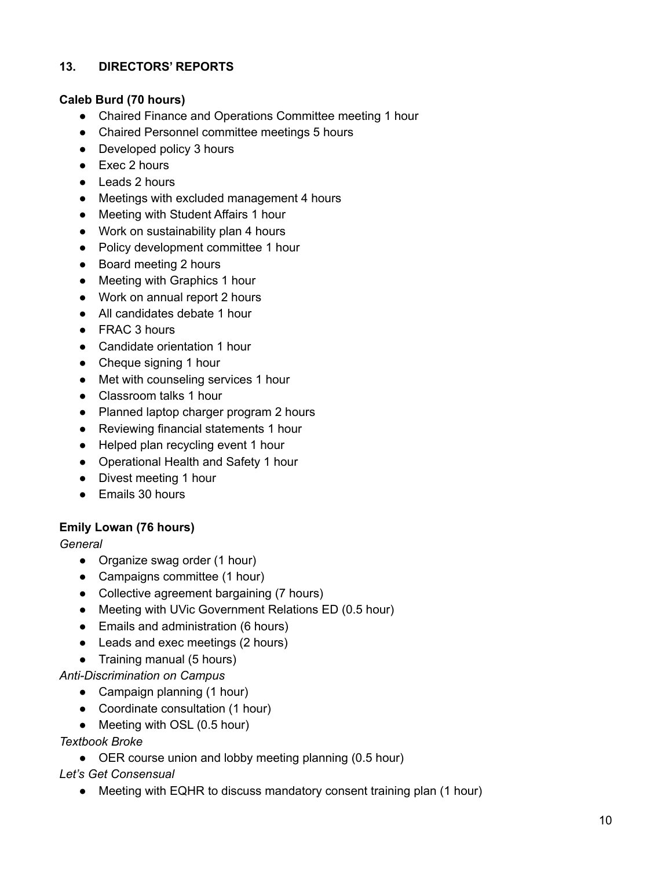## **13. DIRECTORS' REPORTS**

### **Caleb Burd (70 hours)**

- Chaired Finance and Operations Committee meeting 1 hour
- Chaired Personnel committee meetings 5 hours
- Developed policy 3 hours
- Exec 2 hours
- Leads 2 hours
- Meetings with excluded management 4 hours
- Meeting with Student Affairs 1 hour
- Work on sustainability plan 4 hours
- Policy development committee 1 hour
- Board meeting 2 hours
- Meeting with Graphics 1 hour
- Work on annual report 2 hours
- All candidates debate 1 hour
- FRAC 3 hours
- Candidate orientation 1 hour
- Cheque signing 1 hour
- Met with counseling services 1 hour
- Classroom talks 1 hour
- Planned laptop charger program 2 hours
- Reviewing financial statements 1 hour
- Helped plan recycling event 1 hour
- Operational Health and Safety 1 hour
- Divest meeting 1 hour
- Emails 30 hours

### **Emily Lowan (76 hours)**

#### *General*

- Organize swag order (1 hour)
- Campaigns committee (1 hour)
- Collective agreement bargaining (7 hours)
- Meeting with UVic Government Relations ED (0.5 hour)
- Emails and administration (6 hours)
- Leads and exec meetings (2 hours)
- Training manual (5 hours)

### *Anti-Discrimination on Campus*

- Campaign planning (1 hour)
- Coordinate consultation (1 hour)
- Meeting with OSL (0.5 hour)

#### *Textbook Broke*

● OER course union and lobby meeting planning (0.5 hour)

### *Let's Get Consensual*

• Meeting with EQHR to discuss mandatory consent training plan (1 hour)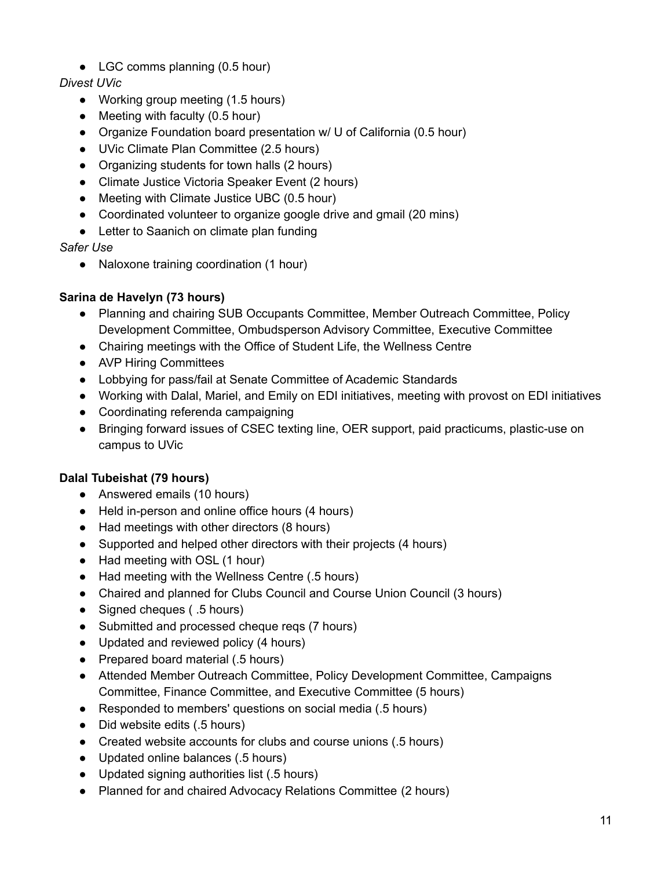• LGC comms planning (0.5 hour)

# *Divest UVic*

- Working group meeting (1.5 hours)
- Meeting with faculty (0.5 hour)
- Organize Foundation board presentation w/ U of California (0.5 hour)
- UVic Climate Plan Committee (2.5 hours)
- Organizing students for town halls (2 hours)
- Climate Justice Victoria Speaker Event (2 hours)
- Meeting with Climate Justice UBC (0.5 hour)
- Coordinated volunteer to organize google drive and gmail (20 mins)
- Letter to Saanich on climate plan funding

*Safer Use*

● Naloxone training coordination (1 hour)

## **Sarina de Havelyn (73 hours)**

- Planning and chairing SUB Occupants Committee, Member Outreach Committee, Policy Development Committee, Ombudsperson Advisory Committee, Executive Committee
- Chairing meetings with the Office of Student Life, the Wellness Centre
- AVP Hiring Committees
- Lobbying for pass/fail at Senate Committee of Academic Standards
- Working with Dalal, Mariel, and Emily on EDI initiatives, meeting with provost on EDI initiatives
- Coordinating referenda campaigning
- Bringing forward issues of CSEC texting line, OER support, paid practicums, plastic-use on campus to UVic

# **Dalal Tubeishat (79 hours)**

- Answered emails (10 hours)
- Held in-person and online office hours (4 hours)
- Had meetings with other directors (8 hours)
- Supported and helped other directors with their projects (4 hours)
- Had meeting with OSL (1 hour)
- Had meeting with the Wellness Centre (.5 hours)
- Chaired and planned for Clubs Council and Course Union Council (3 hours)
- Signed cheques ( .5 hours)
- Submitted and processed cheque reqs (7 hours)
- Updated and reviewed policy (4 hours)
- Prepared board material (.5 hours)
- Attended Member Outreach Committee, Policy Development Committee, Campaigns Committee, Finance Committee, and Executive Committee (5 hours)
- Responded to members' questions on social media (.5 hours)
- Did website edits (.5 hours)
- Created website accounts for clubs and course unions (.5 hours)
- Updated online balances (.5 hours)
- Updated signing authorities list (.5 hours)
- Planned for and chaired Advocacy Relations Committee (2 hours)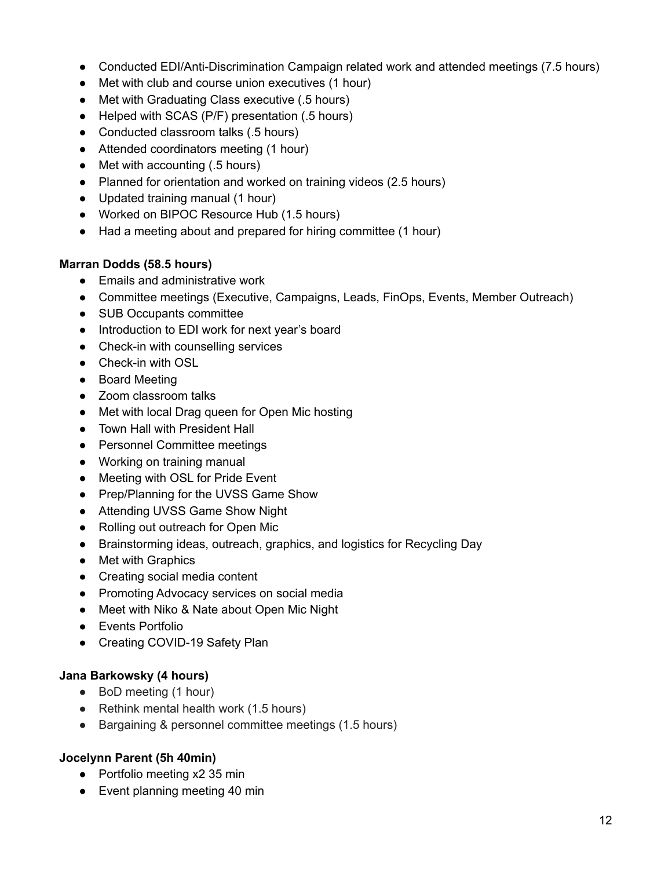- Conducted EDI/Anti-Discrimination Campaign related work and attended meetings (7.5 hours)
- Met with club and course union executives (1 hour)
- Met with Graduating Class executive (.5 hours)
- Helped with SCAS (P/F) presentation (.5 hours)
- Conducted classroom talks (.5 hours)
- Attended coordinators meeting (1 hour)
- Met with accounting (.5 hours)
- Planned for orientation and worked on training videos (2.5 hours)
- Updated training manual (1 hour)
- Worked on BIPOC Resource Hub (1.5 hours)
- Had a meeting about and prepared for hiring committee (1 hour)

#### **Marran Dodds (58.5 hours)**

- Emails and administrative work
- Committee meetings (Executive, Campaigns, Leads, FinOps, Events, Member Outreach)
- SUB Occupants committee
- Introduction to EDI work for next year's board
- Check-in with counselling services
- Check-in with OSL
- Board Meeting
- Zoom classroom talks
- Met with local Drag queen for Open Mic hosting
- Town Hall with President Hall
- Personnel Committee meetings
- Working on training manual
- Meeting with OSL for Pride Event
- Prep/Planning for the UVSS Game Show
- Attending UVSS Game Show Night
- Rolling out outreach for Open Mic
- Brainstorming ideas, outreach, graphics, and logistics for Recycling Day
- Met with Graphics
- Creating social media content
- Promoting Advocacy services on social media
- Meet with Niko & Nate about Open Mic Night
- Events Portfolio
- Creating COVID-19 Safety Plan

#### **Jana Barkowsky (4 hours)**

- BoD meeting (1 hour)
- Rethink mental health work (1.5 hours)
- Bargaining & personnel committee meetings (1.5 hours)

### **Jocelynn Parent (5h 40min)**

- Portfolio meeting x2 35 min
- Event planning meeting 40 min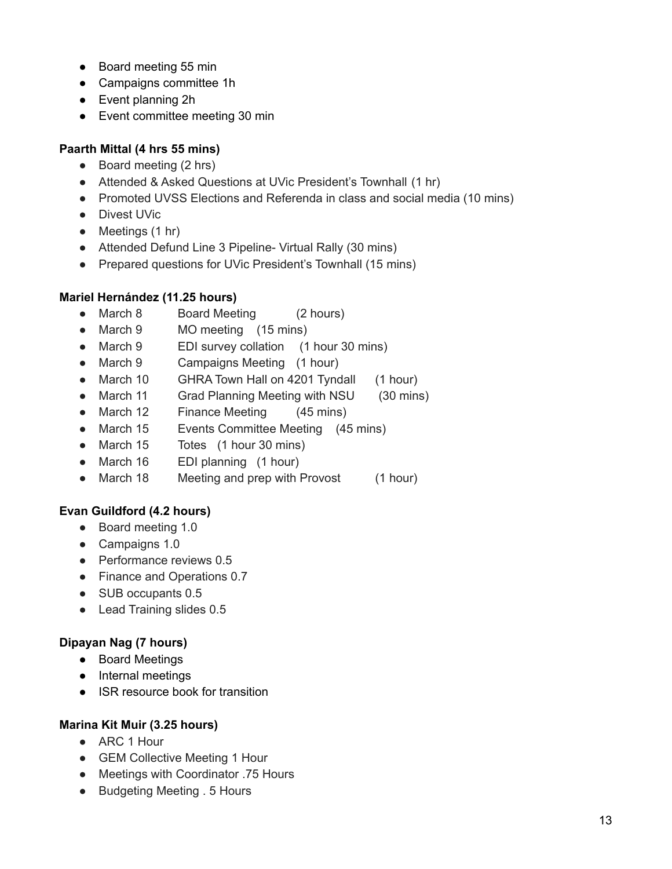- Board meeting 55 min
- Campaigns committee 1h
- Event planning 2h
- Event committee meeting 30 min

## **Paarth Mittal (4 hrs 55 mins)**

- Board meeting (2 hrs)
- Attended & Asked Questions at UVic President's Townhall (1 hr)
- Promoted UVSS Elections and Referenda in class and social media (10 mins)
- Divest UVic
- Meetings (1 hr)
- Attended Defund Line 3 Pipeline- Virtual Rally (30 mins)
- Prepared questions for UVic President's Townhall (15 mins)

### **Mariel Hernández (11.25 hours)**

- March 8 Board Meeting (2 hours)
- March 9 MO meeting (15 mins)
- March 9 EDI survey collation (1 hour 30 mins)
- March 9 Campaigns Meeting (1 hour)
- March 10 GHRA Town Hall on 4201 Tyndall (1 hour)
- March 11 Grad Planning Meeting with NSU (30 mins)
- March 12 Finance Meeting (45 mins)
- March 15 Events Committee Meeting (45 mins)
- March 15 Totes (1 hour 30 mins)
- March 16 EDI planning (1 hour)
- March 18 Meeting and prep with Provost (1 hour)

# **Evan Guildford (4.2 hours)**

- Board meeting 1.0
- Campaigns 1.0
- Performance reviews 0.5
- Finance and Operations 0.7
- SUB occupants 0.5
- Lead Training slides 0.5

# **Dipayan Nag (7 hours)**

- Board Meetings
- Internal meetings
- ISR resource book for transition

### **Marina Kit Muir (3.25 hours)**

- ARC 1 Hour
- GEM Collective Meeting 1 Hour
- Meetings with Coordinator .75 Hours
- Budgeting Meeting . 5 Hours